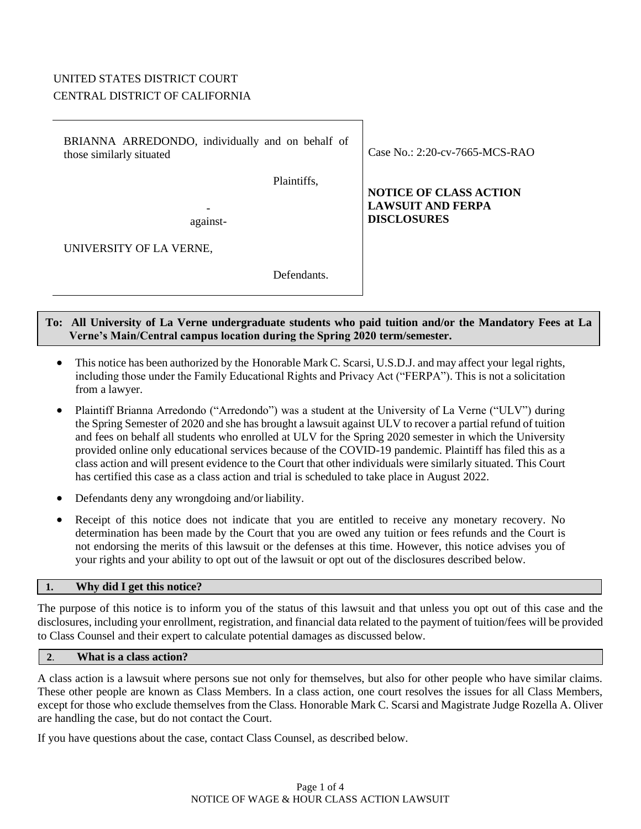# UNITED STATES DISTRICT COURT CENTRAL DISTRICT OF CALIFORNIA

| BRIANNA ARREDONDO, individually and on behalf of<br>those similarly situated | Case No.: $2:20$ -cv-7665-MCS-RAO                         |
|------------------------------------------------------------------------------|-----------------------------------------------------------|
| Plaintiffs,                                                                  | <b>NOTICE OF CLASS ACTION</b><br><b>LAWSUIT AND FERPA</b> |
| against-                                                                     | <b>DISCLOSURES</b>                                        |
| UNIVERSITY OF LA VERNE,                                                      |                                                           |

Defendants.

## **To: All University of La Verne undergraduate students who paid tuition and/or the Mandatory Fees at La Verne's Main/Central campus location during the Spring 2020 term/semester.**

- This notice has been authorized by the Honorable Mark C. Scarsi, U.S.D.J. and may affect your legal rights, including those under the Family Educational Rights and Privacy Act ("FERPA"). This is not a solicitation from a lawyer.
- Plaintiff Brianna Arredondo ("Arredondo") was a student at the University of La Verne ("ULV") during the Spring Semester of 2020 and she has brought a lawsuit against ULV to recover a partial refund of tuition and fees on behalf all students who enrolled at ULV for the Spring 2020 semester in which the University provided online only educational services because of the COVID-19 pandemic. Plaintiff has filed this as a class action and will present evidence to the Court that other individuals were similarly situated. This Court has certified this case as a class action and trial is scheduled to take place in August 2022.
- Defendants deny any wrongdoing and/or liability.
- Receipt of this notice does not indicate that you are entitled to receive any monetary recovery. No determination has been made by the Court that you are owed any tuition or fees refunds and the Court is not endorsing the merits of this lawsuit or the defenses at this time. However, this notice advises you of your rights and your ability to opt out of the lawsuit or opt out of the disclosures described below.

## **1. Why did I get this notice?**

The purpose of this notice is to inform you of the status of this lawsuit and that unless you opt out of this case and the disclosures, including your enrollment, registration, and financial data related to the payment of tuition/fees will be provided to Class Counsel and their expert to calculate potential damages as discussed below.

#### **2**. **What is a class action?**

A class action is a lawsuit where persons sue not only for themselves, but also for other people who have similar claims. These other people are known as Class Members. In a class action, one court resolves the issues for all Class Members, except for those who exclude themselves from the Class. Honorable Mark C. Scarsi and Magistrate Judge Rozella A. Oliver are handling the case, but do not contact the Court.

If you have questions about the case, contact Class Counsel, as described below.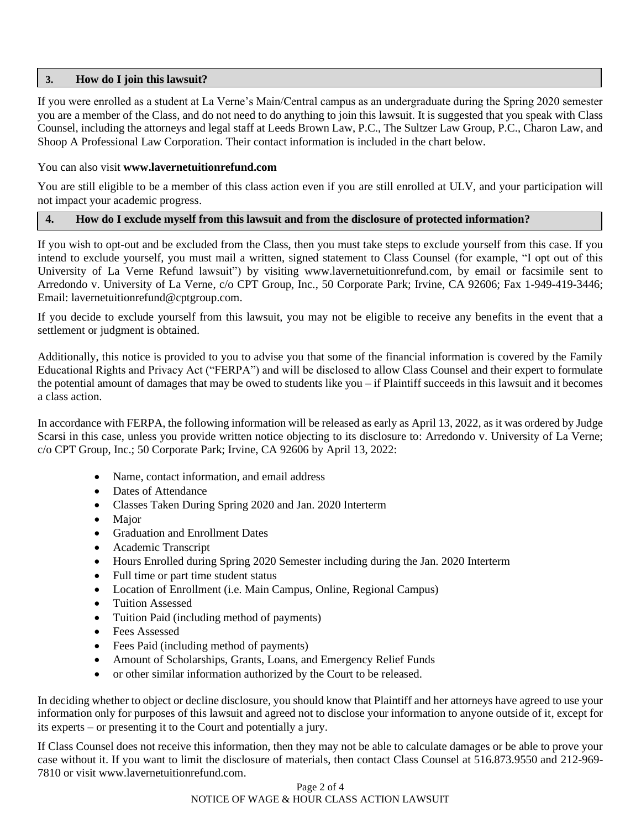### **3. How do I join this lawsuit?**

If you were enrolled as a student at La Verne's Main/Central campus as an undergraduate during the Spring 2020 semester you are a member of the Class, and do not need to do anything to join this lawsuit. It is suggested that you speak with Class Counsel, including the attorneys and legal staff at Leeds Brown Law, P.C., The Sultzer Law Group, P.C., Charon Law, and Shoop A Professional Law Corporation. Their contact information is included in the chart below.

### You can also visit **www.lavernetuitionrefund.com**

You are still eligible to be a member of this class action even if you are still enrolled at ULV, and your participation will not impact your academic progress.

## **4. How do I exclude myself from this lawsuit and from the disclosure of protected information?**

If you wish to opt-out and be excluded from the Class, then you must take steps to exclude yourself from this case. If you intend to exclude yourself, you must mail a written, signed statement to Class Counsel (for example, "I opt out of this University of La Verne Refund lawsuit") by visiting www.lavernetuitionrefund.com, by email or facsimile sent to Arredondo v. University of La Verne, c/o CPT Group, Inc., 50 Corporate Park; Irvine, CA 92606; Fax 1-949-419-3446; Email: lavernetuitionrefund@cptgroup.com.

If you decide to exclude yourself from this lawsuit, you may not be eligible to receive any benefits in the event that a settlement or judgment is obtained.

Additionally, this notice is provided to you to advise you that some of the financial information is covered by the Family Educational Rights and Privacy Act ("FERPA") and will be disclosed to allow Class Counsel and their expert to formulate the potential amount of damages that may be owed to students like you  $-i$  Plaintiff succeeds in this lawsuit and it becomes a class action.

In accordance with FERPA, the following information will be released as early as April 13, 2022, as it was ordered by Judge Scarsi in this case, unless you provide written notice objecting to its disclosure to: Arredondo v. University of La Verne; c/o CPT Group, Inc.; 50 Corporate Park; Irvine, CA 92606 by April 13, 2022:

- Name, contact information, and email address
- Dates of Attendance
- Classes Taken During Spring 2020 and Jan. 2020 Interterm
- Major
- Graduation and Enrollment Dates
- Academic Transcript
- Hours Enrolled during Spring 2020 Semester including during the Jan. 2020 Interterm
- Full time or part time student status
- Location of Enrollment (i.e. Main Campus, Online, Regional Campus)
- Tuition Assessed
- Tuition Paid (including method of payments)
- Fees Assessed
- Fees Paid (including method of payments)
- Amount of Scholarships, Grants, Loans, and Emergency Relief Funds
- or other similar information authorized by the Court to be released.

In deciding whether to object or decline disclosure, you should know that Plaintiff and her attorneys have agreed to use your information only for purposes of this lawsuit and agreed not to disclose your information to anyone outside of it, except for its experts – or presenting it to the Court and potentially a jury.

If Class Counsel does not receive this information, then they may not be able to calculate damages or be able to prove your case without it. If you want to limit the disclosure of materials, then contact Class Counsel at 516.873.9550 and 212-969- 7810 or visit www.lavernetuitionrefund.com.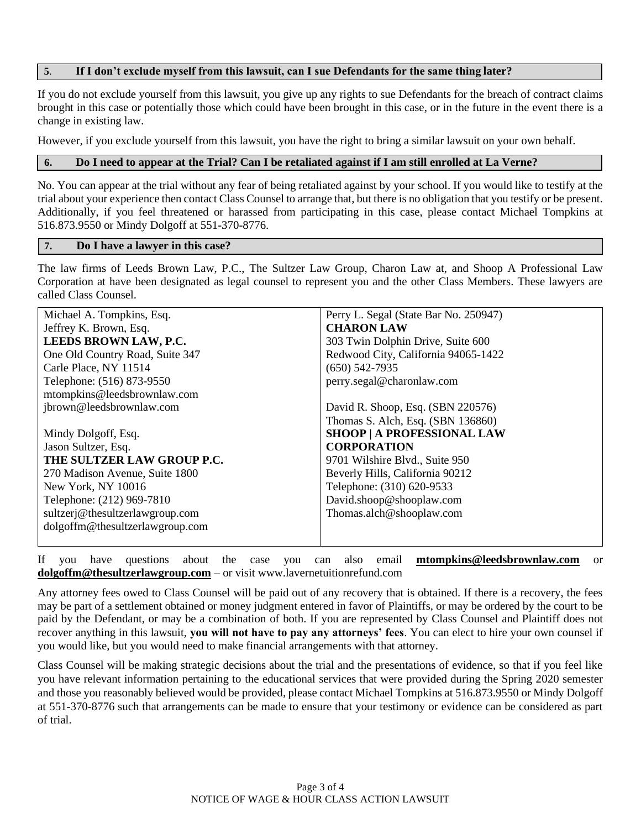### **5**. **If I don't exclude myself from this lawsuit, can I sue Defendants for the same thing later?**

If you do not exclude yourself from this lawsuit, you give up any rights to sue Defendants for the breach of contract claims brought in this case or potentially those which could have been brought in this case, or in the future in the event there is a change in existing law.

However, if you exclude yourself from this lawsuit, you have the right to bring a similar lawsuit on your own behalf.

#### **6. Do I need to appear at the Trial? Can I be retaliated against if I am still enrolled at La Verne?**

No. You can appear at the trial without any fear of being retaliated against by your school. If you would like to testify at the trial about your experience then contact Class Counsel to arrange that, but there is no obligation that you testify or be present. Additionally, if you feel threatened or harassed from participating in this case, please contact Michael Tompkins at 516.873.9550 or Mindy Dolgoff at 551-370-8776.

#### **7. Do I have a lawyer in this case?**

The law firms of Leeds Brown Law, P.C., The Sultzer Law Group, Charon Law at, and Shoop A Professional Law Corporation at have been designated as legal counsel to represent you and the other Class Members. These lawyers are called Class Counsel.

| Michael A. Tompkins, Esq.       | Perry L. Segal (State Bar No. 250947) |
|---------------------------------|---------------------------------------|
| Jeffrey K. Brown, Esq.          | <b>CHARON LAW</b>                     |
| LEEDS BROWN LAW, P.C.           | 303 Twin Dolphin Drive, Suite 600     |
| One Old Country Road, Suite 347 | Redwood City, California 94065-1422   |
| Carle Place, NY 11514           | $(650)$ 542-7935                      |
| Telephone: (516) 873-9550       | perry.segal@charonlaw.com             |
| mtompkins@leedsbrownlaw.com     |                                       |
| jbrown@leedsbrownlaw.com        | David R. Shoop, Esq. (SBN 220576)     |
|                                 | Thomas S. Alch, Esq. (SBN 136860)     |
| Mindy Dolgoff, Esq.             | <b>SHOOP   A PROFESSIONAL LAW</b>     |
| Jason Sultzer, Esq.             | <b>CORPORATION</b>                    |
| THE SULTZER LAW GROUP P.C.      | 9701 Wilshire Blvd., Suite 950        |
| 270 Madison Avenue, Suite 1800  | Beverly Hills, California 90212       |
| New York, NY 10016              | Telephone: (310) 620-9533             |
| Telephone: (212) 969-7810       | David.shoop@shooplaw.com              |
| sultzerj@thesultzerlawgroup.com | Thomas.alch@shooplaw.com              |
| dolgoffm@thesultzerlawgroup.com |                                       |
|                                 |                                       |

If you have questions about the case you can also email **mtompkins@leedsbrownlaw.com** or **dolgoffm@thesultzerlawgroup.com** – or visit www.lavernetuitionrefund.com

Any attorney fees owed to Class Counsel will be paid out of any recovery that is obtained. If there is a recovery, the fees may be part of a settlement obtained or money judgment entered in favor of Plaintiffs, or may be ordered by the court to be paid by the Defendant, or may be a combination of both. If you are represented by Class Counsel and Plaintiff does not recover anything in this lawsuit, **you will not have to pay any attorneys' fees**. You can elect to hire your own counsel if you would like, but you would need to make financial arrangements with that attorney.

Class Counsel will be making strategic decisions about the trial and the presentations of evidence, so that if you feel like you have relevant information pertaining to the educational services that were provided during the Spring 2020 semester and those you reasonably believed would be provided, please contact Michael Tompkins at 516.873.9550 or Mindy Dolgoff at 551-370-8776 such that arrangements can be made to ensure that your testimony or evidence can be considered as part of trial.